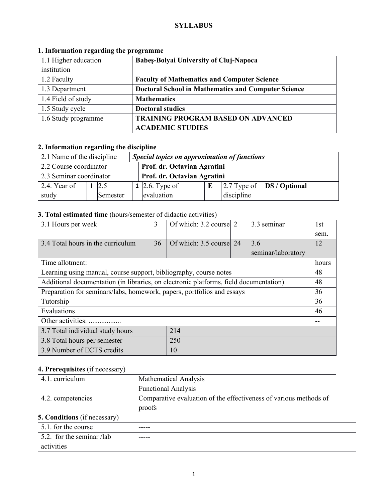### **SYLLABUS**

| 1.1 Higher education | <b>Babes-Bolyai University of Cluj-Napoca</b>              |  |  |
|----------------------|------------------------------------------------------------|--|--|
| institution          |                                                            |  |  |
| 1.2 Faculty          | <b>Faculty of Mathematics and Computer Science</b>         |  |  |
| 1.3 Department       | <b>Doctoral School in Mathematics and Computer Science</b> |  |  |
| 1.4 Field of study   | <b>Mathematics</b>                                         |  |  |
| 1.5 Study cycle      | <b>Doctoral studies</b>                                    |  |  |
| 1.6 Study programme  | <b>TRAINING PROGRAM BASED ON ADVANCED</b>                  |  |  |
|                      | <b>ACADEMIC STUDIES</b>                                    |  |  |

## **1. Information regarding the programme**

# **2. Information regarding the discipline**

| 2.1 Name of the discipline<br>Special topics on approximation of functions |  |          |  |                                                                        |  |  |  |  |
|----------------------------------------------------------------------------|--|----------|--|------------------------------------------------------------------------|--|--|--|--|
| 2.2 Course coordinator<br>Prof. dr. Octavian Agratini                      |  |          |  |                                                                        |  |  |  |  |
| 2.3 Seminar coordinator                                                    |  |          |  | Prof. dr. Octavian Agratini                                            |  |  |  |  |
| 2.4. Year of                                                               |  | 2.5      |  | $\left  2.7$ Type of $\left $ DS / Optional<br>$1 \vert 2.6$ . Type of |  |  |  |  |
| study                                                                      |  | Semester |  | evaluation<br>discipline                                               |  |  |  |  |

## **3. Total estimated time** (hours/semester of didactic activities)

| 3.1 Hours per week                                                                    | 3   | Of which: 3.2 course 2  |  | 3.3 seminar        | 1st   |
|---------------------------------------------------------------------------------------|-----|-------------------------|--|--------------------|-------|
|                                                                                       |     |                         |  |                    | sem.  |
| 3.4 Total hours in the curriculum                                                     | 36  | Of which: 3.5 course 24 |  | 3.6                | 12    |
|                                                                                       |     |                         |  | seminar/laboratory |       |
| Time allotment:                                                                       |     |                         |  |                    | hours |
| Learning using manual, course support, bibliography, course notes                     |     |                         |  |                    | 48    |
| Additional documentation (in libraries, on electronic platforms, field documentation) |     |                         |  |                    | 48    |
| Preparation for seminars/labs, homework, papers, portfolios and essays                |     |                         |  |                    | 36    |
| Tutorship                                                                             |     |                         |  |                    | 36    |
| Evaluations                                                                           |     |                         |  |                    | 46    |
| Other activities:                                                                     |     |                         |  |                    |       |
| 214<br>3.7 Total individual study hours                                               |     |                         |  |                    |       |
| 3.8 Total hours per semester                                                          | 250 |                         |  |                    |       |
| 3.9 Number of ECTS credits<br>10                                                      |     |                         |  |                    |       |

## **4. Prerequisites** (if necessary)

| 4.1. curriculum                     | <b>Mathematical Analysis</b>                                                |  |  |
|-------------------------------------|-----------------------------------------------------------------------------|--|--|
|                                     | <b>Functional Analysis</b>                                                  |  |  |
| 4.2. competencies                   | Comparative evaluation of the effectiveness of various methods of<br>proofs |  |  |
| <b>5. Conditions</b> (if necessary) |                                                                             |  |  |
| $\sim$ 1 $\sim$ 1                   |                                                                             |  |  |

| $\vert$ 5.1. for the course       | ----- |
|-----------------------------------|-------|
| $\vert$ 5.2. for the seminar /lab | ----- |
| activities                        |       |

 $\overline{\phantom{a}}$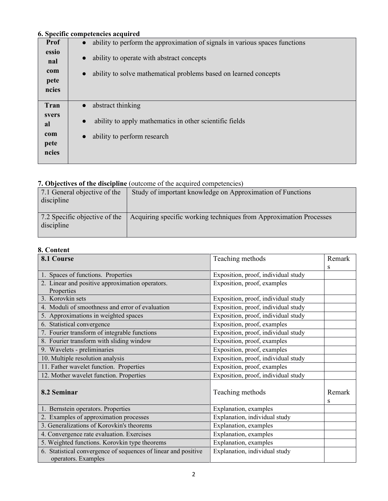# **6. Specific competencies acquired**

|             | 0. Specific competencies acquireu                                           |
|-------------|-----------------------------------------------------------------------------|
| <b>Prof</b> | ability to perform the approximation of signals in various spaces functions |
| essio       | ability to operate with abstract concepts                                   |
| nal         |                                                                             |
| com         | ability to solve mathematical problems based on learned concepts            |
| pete        |                                                                             |
| ncies       |                                                                             |
| Tran        | abstract thinking                                                           |
| svers       |                                                                             |
| al          | ability to apply mathematics in other scientific fields                     |
| com         | ability to perform research                                                 |
| pete        |                                                                             |
| ncies       |                                                                             |
|             |                                                                             |

#### **7. Objectives of the discipline** (outcome of the acquired competencies)

| 7.1 General objective of the<br>discipline  | Study of important knowledge on Approximation of Functions         |
|---------------------------------------------|--------------------------------------------------------------------|
| 7.2 Specific objective of the<br>discipline | Acquiring specific working techniques from Approximation Processes |

### **8. Content**

| 8.1 Course                                                                            | Teaching methods                    | Remark      |
|---------------------------------------------------------------------------------------|-------------------------------------|-------------|
|                                                                                       |                                     | S           |
| 1. Spaces of functions. Properties                                                    | Exposition, proof, individual study |             |
| 2. Linear and positive approximation operators.                                       | Exposition, proof, examples         |             |
| Properties                                                                            |                                     |             |
| 3. Korovkin sets                                                                      | Exposition, proof, individual study |             |
| 4. Moduli of smoothness and error of evaluation                                       | Exposition, proof, individual study |             |
| 5. Approximations in weighted spaces                                                  | Exposition, proof, individual study |             |
| 6. Statistical convergence                                                            | Exposition, proof, examples         |             |
| 7. Fourier transform of integrable functions                                          | Exposition, proof, individual study |             |
| 8. Fourier transform with sliding window                                              | Exposition, proof, examples         |             |
| 9. Wavelets - preliminaries                                                           | Exposition, proof, examples         |             |
| 10. Multiple resolution analysis                                                      | Exposition, proof, individual study |             |
| 11. Father wavelet function. Properties                                               | Exposition, proof, examples         |             |
| 12. Mother wavelet function. Properties                                               | Exposition, proof, individual study |             |
| 8.2 Seminar                                                                           | Teaching methods                    | Remark<br>S |
| 1. Bernstein operators. Properties                                                    | Explanation, examples               |             |
| 2. Examples of approximation processes                                                | Explanation, individual study       |             |
| 3. Generalizations of Korovkin's theorems                                             | Explanation, examples               |             |
| 4. Convergence rate evaluation. Exercises                                             | Explanation, examples               |             |
| 5. Weighted functions. Korovkin type theorems                                         | Explanation, examples               |             |
| 6. Statistical convergence of sequences of linear and positive<br>operators. Examples | Explanation, individual study       |             |